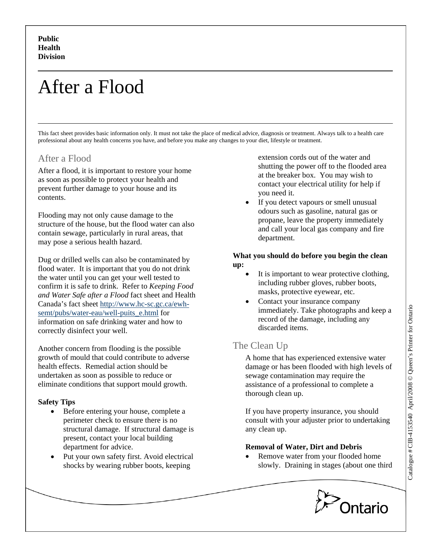# After a Flood

This fact sheet provides basic information only. It must not take the place of medical advice, diagnosis or treatment. Always talk to a health care professional about any health concerns you have, and before you make any changes to your diet, lifestyle or treatment.

# After a Flood

After a flood, it is important to restore your home as soon as possible to protect your health and prevent further damage to your house and its contents.

Flooding may not only cause damage to the structure of the house, but the flood water can also contain sewage, particularly in rural areas, that may pose a serious health hazard.

Dug or drilled wells can also be contaminated by flood water. It is important that you do not drink the water until you can get your well tested to confirm it is safe to drink. Refer to *Keeping Food and Water Safe after a Flood* fact sheet and Health Canada's fact sheet [http://www.hc-sc.gc.ca/ewh](http://www.hc-sc.gc.ca/ewh-semt/pubs/water-eau/well-puits_e.html)[semt/pubs/water-eau/well-puits\\_e.html](http://www.hc-sc.gc.ca/ewh-semt/pubs/water-eau/well-puits_e.html) for information on safe drinking water and how to correctly disinfect your well.

Another concern from flooding is the possible growth of mould that could contribute to adverse health effects. Remedial action should be undertaken as soon as possible to reduce or eliminate conditions that support mould growth.

## **Safety Tips**

- Before entering your house, complete a perimeter check to ensure there is no structural damage. If structural damage is present, contact your local building department for advice.
- Put your own safety first. Avoid electrical shocks by wearing rubber boots, keeping

extension cords out of the water and shutting the power off to the flooded area at the breaker box. You may wish to contact your electrical utility for help if you need it.

If you detect vapours or smell unusual odours such as gasoline, natural gas or propane, leave the property immediately and call your local gas company and fire department.

### **What you should do before you begin the clean up:**

- It is important to wear protective clothing, including rubber gloves, rubber boots, masks, protective eyewear, etc.
- Contact your insurance company immediately. Take photographs and keep a record of the damage, including any discarded items.

# The Clean Up

A home that has experienced extensive water damage or has been flooded with high levels of sewage contamination may require the assistance of a professional to complete a thorough clean up.

If you have property insurance, you should consult with your adjuster prior to undertaking any clean up.

# **Removal of Water, Dirt and Debris**

Remove water from your flooded home slowly. Draining in stages (about one third

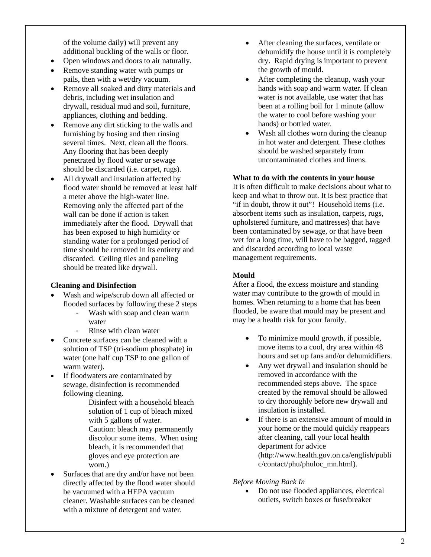of the volume daily) will prevent any additional buckling of the walls or floor.

- Open windows and doors to air naturally.
- Remove standing water with pumps or pails, then with a wet/dry vacuum.
- Remove all soaked and dirty materials and debris, including wet insulation and drywall, residual mud and soil, furniture, appliances, clothing and bedding.
- Remove any dirt sticking to the walls and furnishing by hosing and then rinsing several times. Next, clean all the floors. Any flooring that has been deeply penetrated by flood water or sewage should be discarded (i.e. carpet, rugs).
- All drywall and insulation affected by flood water should be removed at least half a meter above the high-water line. Removing only the affected part of the wall can be done if action is taken immediately after the flood. Drywall that has been exposed to high humidity or standing water for a prolonged period of time should be removed in its entirety and discarded. Ceiling tiles and paneling should be treated like drywall.

#### **Cleaning and Disinfection**

- Wash and wipe/scrub down all affected or flooded surfaces by following these 2 steps
	- Wash with soap and clean warm water
	- Rinse with clean water
- Concrete surfaces can be cleaned with a solution of TSP (tri-sodium phosphate) in water (one half cup TSP to one gallon of warm water).
- If floodwaters are contaminated by sewage, disinfection is recommended following cleaning.

Disinfect with a household bleach solution of 1 cup of bleach mixed with 5 gallons of water. Caution: bleach may permanently discolour some items. When using bleach, it is recommended that gloves and eye protection are worn.)

Surfaces that are dry and/or have not been directly affected by the flood water should be vacuumed with a HEPA vacuum cleaner. Washable surfaces can be cleaned with a mixture of detergent and water.

- After cleaning the surfaces, ventilate or dehumidify the house until it is completely dry. Rapid drying is important to prevent the growth of mould.
- After completing the cleanup, wash your hands with soap and warm water. If clean water is not available, use water that has been at a rolling boil for 1 minute (allow the water to cool before washing your hands) or bottled water.
- Wash all clothes worn during the cleanup in hot water and detergent. These clothes should be washed separately from uncontaminated clothes and linens.

#### **What to do with the contents in your house**

It is often difficult to make decisions about what to keep and what to throw out. It is best practice that "if in doubt, throw it out"! Household items (i.e. absorbent items such as insulation, carpets, rugs, upholstered furniture, and mattresses) that have been contaminated by sewage, or that have been wet for a long time, will have to be bagged, tagged and discarded according to local waste management requirements.

#### **Mould**

After a flood, the excess moisture and standing water may contribute to the growth of mould in homes. When returning to a home that has been flooded, be aware that mould may be present and may be a health risk for your family.

- To minimize mould growth, if possible, move items to a cool, dry area within 48 hours and set up fans and/or dehumidifiers.
- Any wet drywall and insulation should be removed in accordance with the recommended steps above. The space created by the removal should be allowed to dry thoroughly before new drywall and insulation is installed.
- If there is an extensive amount of mould in your home or the mould quickly reappears after cleaning, call your local health department for advice (http://www.health.gov.on.ca/english/publi c/contact/phu/phuloc\_mn.html).

#### *Before Moving Back In*

• Do not use flooded appliances, electrical outlets, switch boxes or fuse/breaker